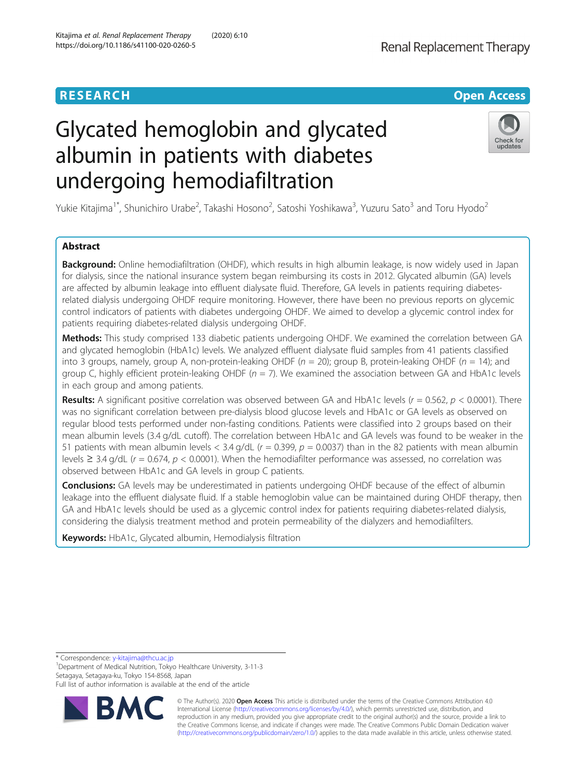# Glycated hemoglobin and glycated albumin in patients with diabetes undergoing hemodiafiltration



Yukie Kitajima<sup>1\*</sup>, Shunichiro Urabe<sup>2</sup>, Takashi Hosono<sup>2</sup>, Satoshi Yoshikawa<sup>3</sup>, Yuzuru Sato<sup>3</sup> and Toru Hyodo<sup>2</sup>

## Abstract

Background: Online hemodiafiltration (OHDF), which results in high albumin leakage, is now widely used in Japan for dialysis, since the national insurance system began reimbursing its costs in 2012. Glycated albumin (GA) levels are affected by albumin leakage into effluent dialysate fluid. Therefore, GA levels in patients requiring diabetesrelated dialysis undergoing OHDF require monitoring. However, there have been no previous reports on glycemic control indicators of patients with diabetes undergoing OHDF. We aimed to develop a glycemic control index for patients requiring diabetes-related dialysis undergoing OHDF.

Methods: This study comprised 133 diabetic patients undergoing OHDF. We examined the correlation between GA and glycated hemoglobin (HbA1c) levels. We analyzed effluent dialysate fluid samples from 41 patients classified into 3 groups, namely, group A, non-protein-leaking OHDF ( $n = 20$ ); group B, protein-leaking OHDF ( $n = 14$ ); and group C, highly efficient protein-leaking OHDF ( $n = 7$ ). We examined the association between GA and HbA1c levels in each group and among patients.

Results: A significant positive correlation was observed between GA and HbA1c levels  $(r = 0.562, p < 0.0001)$ . There was no significant correlation between pre-dialysis blood glucose levels and HbA1c or GA levels as observed on regular blood tests performed under non-fasting conditions. Patients were classified into 2 groups based on their mean albumin levels (3.4 g/dL cutoff). The correlation between HbA1c and GA levels was found to be weaker in the 51 patients with mean albumin levels <  $3.4$  g/dL ( $r = 0.399$ ,  $p = 0.0037$ ) than in the 82 patients with mean albumin levels  $\geq$  3.4 g/dL (r = 0.674, p < 0.0001). When the hemodiafilter performance was assessed, no correlation was observed between HbA1c and GA levels in group C patients.

**Conclusions:** GA levels may be underestimated in patients undergoing OHDF because of the effect of albumin leakage into the effluent dialysate fluid. If a stable hemoglobin value can be maintained during OHDF therapy, then GA and HbA1c levels should be used as a glycemic control index for patients requiring diabetes-related dialysis, considering the dialysis treatment method and protein permeability of the dialyzers and hemodiafilters.

Keywords: HbA1c, Glycated albumin, Hemodialysis filtration

\* Correspondence: [y-kitajima@thcu.ac.jp](mailto:y-kitajima@thcu.ac.jp) <sup>1</sup>

Department of Medical Nutrition, Tokyo Healthcare University, 3-11-3 Setagaya, Setagaya-ku, Tokyo 154-8568, Japan

Full list of author information is available at the end of the article



© The Author(s). 2020 **Open Access** This article is distributed under the terms of the Creative Commons Attribution 4.0 International License [\(http://creativecommons.org/licenses/by/4.0/](http://creativecommons.org/licenses/by/4.0/)), which permits unrestricted use, distribution, and reproduction in any medium, provided you give appropriate credit to the original author(s) and the source, provide a link to the Creative Commons license, and indicate if changes were made. The Creative Commons Public Domain Dedication waiver [\(http://creativecommons.org/publicdomain/zero/1.0/](http://creativecommons.org/publicdomain/zero/1.0/)) applies to the data made available in this article, unless otherwise stated.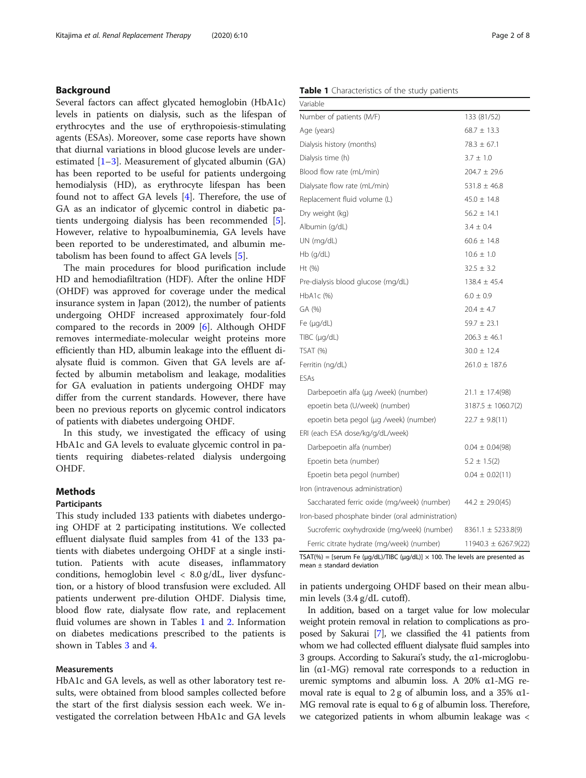## <span id="page-1-0"></span>Background

Several factors can affect glycated hemoglobin (HbA1c) levels in patients on dialysis, such as the lifespan of erythrocytes and the use of erythropoiesis-stimulating agents (ESAs). Moreover, some case reports have shown that diurnal variations in blood glucose levels are underestimated  $[1-3]$  $[1-3]$  $[1-3]$  $[1-3]$ . Measurement of glycated albumin (GA) has been reported to be useful for patients undergoing hemodialysis (HD), as erythrocyte lifespan has been found not to affect GA levels [[4\]](#page-7-0). Therefore, the use of GA as an indicator of glycemic control in diabetic patients undergoing dialysis has been recommended [\[5](#page-7-0)]. However, relative to hypoalbuminemia, GA levels have been reported to be underestimated, and albumin metabolism has been found to affect GA levels [[5\]](#page-7-0).

The main procedures for blood purification include HD and hemodiafiltration (HDF). After the online HDF (OHDF) was approved for coverage under the medical insurance system in Japan (2012), the number of patients undergoing OHDF increased approximately four-fold compared to the records in 2009 [[6\]](#page-7-0). Although OHDF removes intermediate-molecular weight proteins more efficiently than HD, albumin leakage into the effluent dialysate fluid is common. Given that GA levels are affected by albumin metabolism and leakage, modalities for GA evaluation in patients undergoing OHDF may differ from the current standards. However, there have been no previous reports on glycemic control indicators of patients with diabetes undergoing OHDF.

In this study, we investigated the efficacy of using HbA1c and GA levels to evaluate glycemic control in patients requiring diabetes-related dialysis undergoing OHDF.

### Methods

## Participants

This study included 133 patients with diabetes undergoing OHDF at 2 participating institutions. We collected effluent dialysate fluid samples from 41 of the 133 patients with diabetes undergoing OHDF at a single institution. Patients with acute diseases, inflammatory conditions, hemoglobin level  $\langle 8.0 \text{ g}/\text{d}L$ , liver dysfunction, or a history of blood transfusion were excluded. All patients underwent pre-dilution OHDF. Dialysis time, blood flow rate, dialysate flow rate, and replacement fluid volumes are shown in Tables 1 and [2.](#page-2-0) Information on diabetes medications prescribed to the patients is shown in Tables [3](#page-3-0) and [4](#page-3-0).

## Measurements

HbA1c and GA levels, as well as other laboratory test results, were obtained from blood samples collected before the start of the first dialysis session each week. We investigated the correlation between HbA1c and GA levels

## Table 1 Characteristics of the study patients

| Variable                                          |                          |
|---------------------------------------------------|--------------------------|
| Number of patients (M/F)                          | 133 (81/52)              |
| Age (years)                                       | $68.7 \pm 13.3$          |
| Dialysis history (months)                         | $78.3 \pm 67.1$          |
| Dialysis time (h)                                 | $3.7 \pm 1.0$            |
| Blood flow rate (mL/min)                          | $204.7 \pm 29.6$         |
| Dialysate flow rate (mL/min)                      | $531.8 \pm 46.8$         |
| Replacement fluid volume (L)                      | $45.0 \pm 14.8$          |
| Dry weight (kg)                                   | $56.2 \pm 14.1$          |
| Albumin (g/dL)                                    | $3.4 \pm 0.4$            |
| UN (mq/dL)                                        | $60.6 \pm 14.8$          |
| $Hb$ (q/dL)                                       | $10.6 \pm 1.0$           |
| Ht $(\%)$                                         | $32.5 \pm 3.2$           |
| Pre-dialysis blood glucose (mg/dL)                | $138.4 \pm 45.4$         |
| HbA1c (%)                                         | $6.0 \pm 0.9$            |
| GA (%)                                            | $20.4 \pm 4.7$           |
| Fe $(\mu q/dL)$                                   | $59.7 \pm 23.1$          |
| $T\text{IBC}$ ( $\mu$ g/dL)                       | $206.3 \pm 46.1$         |
| TSAT (%)                                          | $30.0 \pm 12.4$          |
| Ferritin (ng/dL)                                  | $261.0 \pm 187.6$        |
| <b>FSAs</b>                                       |                          |
| Darbepoetin alfa (µg /week) (number)              | $21.1 \pm 17.4(98)$      |
| epoetin beta (U/week) (number)                    | $3187.5 \pm 1060.7(2)$   |
| epoetin beta pegol (µg /week) (number)            | $22.7 \pm 9.8(11)$       |
| ERI (each ESA dose/kg/g/dL/week)                  |                          |
| Darbepoetin alfa (number)                         | $0.04 \pm 0.04(98)$      |
| Epoetin beta (number)                             | $5.2 \pm 1.5(2)$         |
| Epoetin beta pegol (number)                       | $0.04 \pm 0.02(11)$      |
| Iron (intravenous administration)                 |                          |
| Saccharated ferric oxide (mg/week) (number)       | $44.2 \pm 29.0(45)$      |
| Iron-based phosphate binder (oral administration) |                          |
| Sucroferric oxyhydroxide (mg/week) (number)       | $8361.1 \pm 5233.8(9)$   |
| Ferric citrate hydrate (mg/week) (number)         | $11940.3 \pm 6267.9(22)$ |

TSAT(%) = [serum Fe ( $\mu$ g/dL)/TIBC ( $\mu$ g/dL)] × 100. The levels are presented as mean ± standard deviation

in patients undergoing OHDF based on their mean albumin levels (3.4 g/dL cutoff).

In addition, based on a target value for low molecular weight protein removal in relation to complications as proposed by Sakurai [\[7\]](#page-7-0), we classified the 41 patients from whom we had collected effluent dialysate fluid samples into 3 groups. According to Sakurai's study, the α1-microglobulin  $(\alpha 1-MG)$  removal rate corresponds to a reduction in uremic symptoms and albumin loss. A 20% α1-MG removal rate is equal to 2 g of albumin loss, and a 35%  $\alpha$ 1-MG removal rate is equal to 6 g of albumin loss. Therefore, we categorized patients in whom albumin leakage was <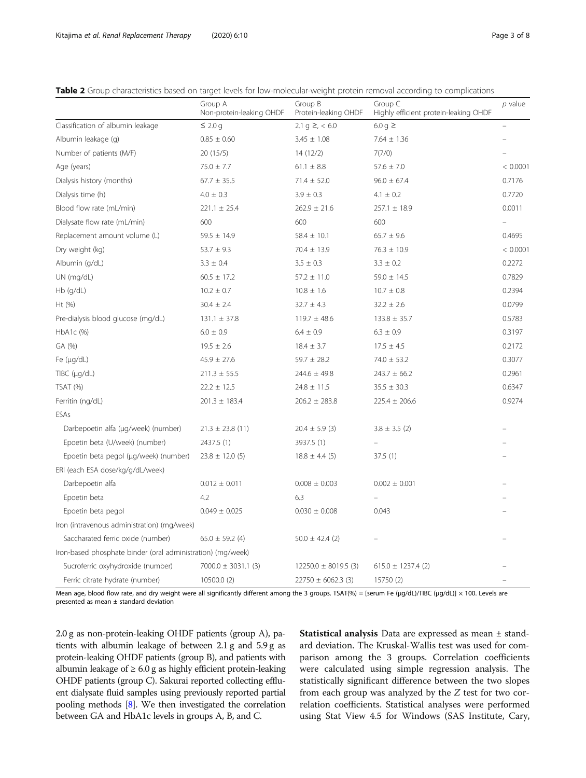<span id="page-2-0"></span>

|  | Table 2 Group characteristics based on target levels for low-molecular-weight protein removal according to complications |  |  |  |  |  |
|--|--------------------------------------------------------------------------------------------------------------------------|--|--|--|--|--|
|  |                                                                                                                          |  |  |  |  |  |

|                                                             | Group A<br>Non-protein-leaking OHDF | Group B<br>Protein-leaking OHDF | Group C<br>Highly efficient protein-leaking OHDF | $p$ value |
|-------------------------------------------------------------|-------------------------------------|---------------------------------|--------------------------------------------------|-----------|
| Classification of albumin leakage                           | $\leq 2.0$ g                        | $2.1$ g $\geq$ , < 6.0          | 6.0 g $\geq$                                     |           |
| Albumin leakage (g)                                         | $0.85 \pm 0.60$                     | $3.45 \pm 1.08$                 | $7.64 \pm 1.36$                                  |           |
| Number of patients (M/F)                                    | 20 (15/5)                           | 14(12/2)                        | 7(7/0)                                           |           |
| Age (years)                                                 | $75.0 \pm 7.7$                      | $61.1 \pm 8.8$                  | $57.6 \pm 7.0$                                   | < 0.0001  |
| Dialysis history (months)                                   | $67.7 \pm 35.5$                     | $71.4 \pm 52.0$                 | $96.0 \pm 67.4$                                  | 0.7176    |
| Dialysis time (h)                                           | $4.0 \pm 0.3$                       | $3.9 \pm 0.3$                   | $4.1 \pm 0.2$                                    | 0.7720    |
| Blood flow rate (mL/min)                                    | $221.1 \pm 25.4$                    | $262.9 \pm 21.6$                | $257.1 \pm 18.9$                                 | 0.0011    |
| Dialysate flow rate (mL/min)                                | 600                                 | 600                             | 600                                              |           |
| Replacement amount volume (L)                               | $59.5 \pm 14.9$                     | $58.4 \pm 10.1$                 | $65.7 \pm 9.6$                                   | 0.4695    |
| Dry weight (kg)                                             | $53.7 \pm 9.3$                      | $70.4 \pm 13.9$                 | $76.3 \pm 10.9$                                  | < 0.0001  |
| Albumin (g/dL)                                              | $3.3 \pm 0.4$                       | $3.5 \pm 0.3$                   | $3.3 \pm 0.2$                                    | 0.2272    |
| UN (mg/dL)                                                  | $60.5 \pm 17.2$                     | $57.2 \pm 11.0$                 | $59.0 \pm 14.5$                                  | 0.7829    |
| Hb (g/dL)                                                   | $10.2 \pm 0.7$                      | $10.8 \pm 1.6$                  | $10.7 \pm 0.8$                                   | 0.2394    |
| Ht (%)                                                      | $30.4 \pm 2.4$                      | $32.7 \pm 4.3$                  | $32.2 \pm 2.6$                                   | 0.0799    |
| Pre-dialysis blood glucose (mg/dL)                          | $131.1 \pm 37.8$                    | $119.7 \pm 48.6$                | $133.8 \pm 35.7$                                 | 0.5783    |
| HbA1c (%)                                                   | $6.0 \pm 0.9$                       | $6.4 \pm 0.9$                   | $6.3 \pm 0.9$                                    | 0.3197    |
| GA (%)                                                      | $19.5 \pm 2.6$                      | $18.4 \pm 3.7$                  | $17.5 \pm 4.5$                                   | 0.2172    |
| Fe $(\mu q/dL)$                                             | $45.9 \pm 27.6$                     | $59.7 \pm 28.2$                 | $74.0 \pm 53.2$                                  | 0.3077    |
| TIBC (µg/dL)                                                | $211.3 \pm 55.5$                    | $244.6 \pm 49.8$                | $243.7 \pm 66.2$                                 | 0.2961    |
| <b>TSAT (%)</b>                                             | $22.2 \pm 12.5$                     | $24.8 \pm 11.5$                 | $35.5 \pm 30.3$                                  | 0.6347    |
| Ferritin (ng/dL)                                            | $201.3 \pm 183.4$                   | $206.2 \pm 283.8$               | $225.4 \pm 206.6$                                | 0.9274    |
| ESAs                                                        |                                     |                                 |                                                  |           |
| Darbepoetin alfa (µg/week) (number)                         | $21.3 \pm 23.8$ (11)                | $20.4 \pm 5.9$ (3)              | $3.8 \pm 3.5$ (2)                                |           |
| Epoetin beta (U/week) (number)                              | 2437.5 (1)                          | 3937.5 (1)                      |                                                  |           |
| Epoetin beta pegol (µg/week) (number)                       | $23.8 \pm 12.0$ (5)                 | $18.8 \pm 4.4$ (5)              | 37.5(1)                                          |           |
| ERI (each ESA dose/kg/g/dL/week)                            |                                     |                                 |                                                  |           |
| Darbepoetin alfa                                            | $0.012 \pm 0.011$                   | $0.008 \pm 0.003$               | $0.002 \pm 0.001$                                |           |
| Epoetin beta                                                | 4.2                                 | 6.3                             |                                                  |           |
| Epoetin beta pegol                                          | $0.049 \pm 0.025$                   | $0.030 \pm 0.008$               | 0.043                                            |           |
| Iron (intravenous administration) (mg/week)                 |                                     |                                 |                                                  |           |
| Saccharated ferric oxide (number)                           | $65.0 \pm 59.2$ (4)                 | $50.0 \pm 42.4$ (2)             |                                                  |           |
| Iron-based phosphate binder (oral administration) (mg/week) |                                     |                                 |                                                  |           |
| Sucroferric oxyhydroxide (number)                           | $7000.0 \pm 3031.1$ (3)             | $12250.0 \pm 8019.5$ (3)        | $615.0 \pm 1237.4$ (2)                           |           |
| Ferric citrate hydrate (number)                             | 10500.0 (2)                         | $22750 \pm 6062.3$ (3)          | 15750 (2)                                        |           |

Mean age, blood flow rate, and dry weight were all significantly different among the 3 groups. TSAT(%) = [serum Fe (μg/dL)/TIBC (μg/dL)] × 100. Levels are presented as mean ± standard deviation

2.0 g as non-protein-leaking OHDF patients (group A), patients with albumin leakage of between 2.1 g and 5.9 g as protein-leaking OHDF patients (group B), and patients with albumin leakage of  $\geq 6.0$  g as highly efficient protein-leaking OHDF patients (group C). Sakurai reported collecting effluent dialysate fluid samples using previously reported partial pooling methods [\[8\]](#page-7-0). We then investigated the correlation between GA and HbA1c levels in groups A, B, and C.

Statistical analysis Data are expressed as mean ± standard deviation. The Kruskal-Wallis test was used for comparison among the 3 groups. Correlation coefficients were calculated using simple regression analysis. The statistically significant difference between the two slopes from each group was analyzed by the Z test for two correlation coefficients. Statistical analyses were performed using Stat View 4.5 for Windows (SAS Institute, Cary,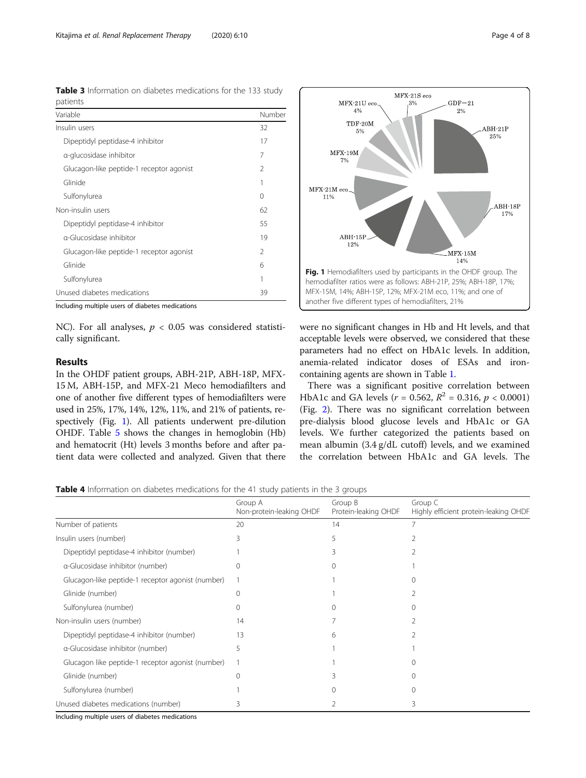<span id="page-3-0"></span>Table 3 Information on diabetes medications for the 133 study patients

| Variable                                 | Number        |  |  |
|------------------------------------------|---------------|--|--|
| Insulin users                            |               |  |  |
| Dipeptidyl peptidase-4 inhibitor         | 17            |  |  |
| a-glucosidase inhibitor                  | 7             |  |  |
| Glucagon-like peptide-1 receptor agonist | $\mathcal{P}$ |  |  |
| Glinide                                  | 1             |  |  |
| Sulfonylurea                             | 0             |  |  |
| Non-insulin users                        | 62            |  |  |
| Dipeptidyl peptidase-4 inhibitor         | 55            |  |  |
| a-Glucosidase inhibitor                  | 19            |  |  |
| Glucagon-like peptide-1 receptor agonist | $\mathcal{P}$ |  |  |
| Glinide                                  | 6             |  |  |
| Sulfonylurea                             | 1             |  |  |
| Unused diabetes medications              | 39            |  |  |

Including multiple users of diabetes medications

NC). For all analyses,  $p < 0.05$  was considered statistically significant.

## Results

In the OHDF patient groups, ABH-21P, ABH-18P, MFX-15 M, ABH-15P, and MFX-21 Meco hemodiafilters and one of another five different types of hemodiafilters were used in 25%, 17%, 14%, 12%, 11%, and 21% of patients, respectively (Fig. 1). All patients underwent pre-dilution OHDF. Table [5](#page-4-0) shows the changes in hemoglobin (Hb) and hematocrit (Ht) levels 3 months before and after patient data were collected and analyzed. Given that there



were no significant changes in Hb and Ht levels, and that acceptable levels were observed, we considered that these parameters had no effect on HbA1c levels. In addition, anemia-related indicator doses of ESAs and ironcontaining agents are shown in Table [1.](#page-1-0)

There was a significant positive correlation between HbA1c and GA levels ( $r = 0.562$ ,  $R^2 = 0.316$ ,  $p < 0.0001$ ) (Fig. [2](#page-4-0)). There was no significant correlation between pre-dialysis blood glucose levels and HbA1c or GA levels. We further categorized the patients based on mean albumin (3.4 g/dL cutoff) levels, and we examined the correlation between HbA1c and GA levels. The

**Table 4** Information on diabetes medications for the 41 study patients in the 3 groups

|                                                   | Group A<br>Non-protein-leaking OHDF | Group B<br>Protein-leaking OHDF | Group C<br>Highly efficient protein-leaking OHDF |
|---------------------------------------------------|-------------------------------------|---------------------------------|--------------------------------------------------|
| Number of patients                                | 20                                  | 14                              |                                                  |
| Insulin users (number)                            | 3                                   | 5                               |                                                  |
| Dipeptidyl peptidase-4 inhibitor (number)         |                                     |                                 |                                                  |
| a-Glucosidase inhibitor (number)                  |                                     |                                 |                                                  |
| Glucagon-like peptide-1 receptor agonist (number) |                                     |                                 |                                                  |
| Glinide (number)                                  | $^{()}$                             |                                 |                                                  |
| Sulfonylurea (number)                             |                                     |                                 |                                                  |
| Non-insulin users (number)                        | 14                                  |                                 |                                                  |
| Dipeptidyl peptidase-4 inhibitor (number)         | 13                                  | 6                               |                                                  |
| a-Glucosidase inhibitor (number)                  | 5                                   |                                 |                                                  |
| Glucagon like peptide-1 receptor agonist (number) |                                     |                                 |                                                  |
| Glinide (number)                                  |                                     |                                 |                                                  |
| Sulfonylurea (number)                             |                                     |                                 |                                                  |
| Unused diabetes medications (number)              | 3                                   |                                 | 3                                                |

Including multiple users of diabetes medications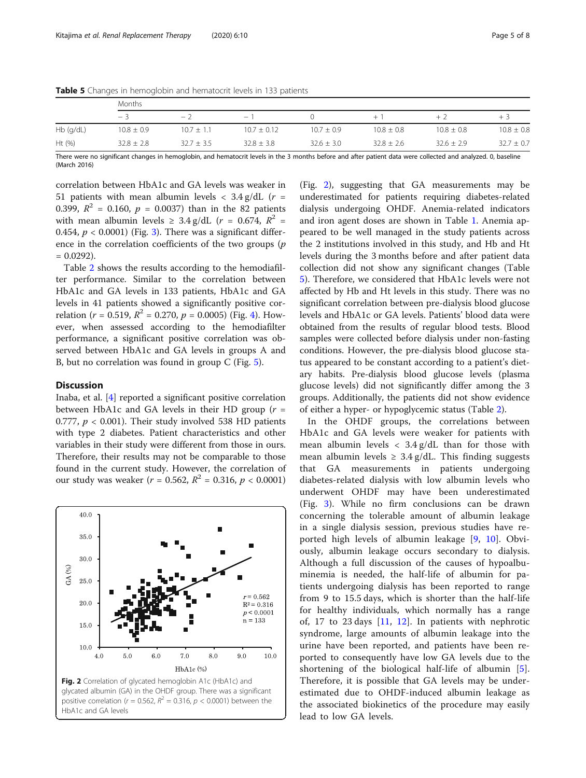|             | <b>Months</b>  |                |                 |                |                |                |                |  |  |
|-------------|----------------|----------------|-----------------|----------------|----------------|----------------|----------------|--|--|
|             | $-3$           | - 2            | $-1$            |                | $+1$           | $+$ )          | $+3$           |  |  |
| $Hb$ (q/dL) | $10.8 \pm 0.9$ | $10.7 \pm 1.1$ | $10.7 \pm 0.12$ | $10.7 \pm 0.9$ | $10.8 \pm 0.8$ | $10.8 \pm 0.8$ | $10.8 \pm 0.8$ |  |  |
| Ht $(% )$   | $32.8 \pm 2.8$ | $32.7 \pm 3.5$ | $32.8 \pm 3.8$  | $32.6 \pm 3.0$ | $32.8 \pm 2.6$ | $32.6 \pm 2.9$ | $32.7 \pm 0.7$ |  |  |

<span id="page-4-0"></span>Table 5 Changes in hemoglobin and hematocrit levels in 133 patients

There were no significant changes in hemoglobin, and hematocrit levels in the 3 months before and after patient data were collected and analyzed. 0, baseline (March 2016)

correlation between HbA1c and GA levels was weaker in 51 patients with mean albumin levels  $\langle 3.4 \text{ g}/dL \rangle$  ( $r =$ 0.399,  $R^2 = 0.160$ ,  $p = 0.0037$ ) than in the 82 patients with mean albumin levels  $\geq 3.4$  g/dL ( $r = 0.674$ ,  $R^2 =$ 0.454,  $p < 0.0001$ ) (Fig. [3](#page-5-0)). There was a significant difference in the correlation coefficients of the two groups  $(p)$  $= 0.0292$ ).

Table [2](#page-2-0) shows the results according to the hemodiafilter performance. Similar to the correlation between HbA1c and GA levels in 133 patients, HbA1c and GA levels in 41 patients showed a significantly positive correlation ( $r = 0.519$ ,  $R^2 = 0.270$ ,  $p = 0.0005$ ) (Fig. [4](#page-5-0)). However, when assessed according to the hemodiafilter performance, a significant positive correlation was observed between HbA1c and GA levels in groups A and B, but no correlation was found in group C (Fig. [5\)](#page-6-0).

## **Discussion**

Inaba, et al. [\[4](#page-7-0)] reported a significant positive correlation between HbA1c and GA levels in their HD group  $(r =$ 0.777,  $p < 0.001$ ). Their study involved 538 HD patients with type 2 diabetes. Patient characteristics and other variables in their study were different from those in ours. Therefore, their results may not be comparable to those found in the current study. However, the correlation of our study was weaker ( $r = 0.562$ ,  $R^2 = 0.316$ ,  $p < 0.0001$ )



(Fig. 2), suggesting that GA measurements may be underestimated for patients requiring diabetes-related dialysis undergoing OHDF. Anemia-related indicators and iron agent doses are shown in Table [1](#page-1-0). Anemia appeared to be well managed in the study patients across the 2 institutions involved in this study, and Hb and Ht levels during the 3 months before and after patient data collection did not show any significant changes (Table 5). Therefore, we considered that HbA1c levels were not affected by Hb and Ht levels in this study. There was no significant correlation between pre-dialysis blood glucose levels and HbA1c or GA levels. Patients' blood data were obtained from the results of regular blood tests. Blood samples were collected before dialysis under non-fasting conditions. However, the pre-dialysis blood glucose status appeared to be constant according to a patient's dietary habits. Pre-dialysis blood glucose levels (plasma glucose levels) did not significantly differ among the 3 groups. Additionally, the patients did not show evidence of either a hyper- or hypoglycemic status (Table [2\)](#page-2-0).

In the OHDF groups, the correlations between HbA1c and GA levels were weaker for patients with mean albumin levels  $\langle 3.4 \text{ g/d} L \rangle$  than for those with mean albumin levels  $\geq 3.4$  g/dL. This finding suggests that GA measurements in patients undergoing diabetes-related dialysis with low albumin levels who underwent OHDF may have been underestimated (Fig. [3](#page-5-0)). While no firm conclusions can be drawn concerning the tolerable amount of albumin leakage in a single dialysis session, previous studies have reported high levels of albumin leakage [\[9](#page-7-0), [10\]](#page-7-0). Obviously, albumin leakage occurs secondary to dialysis. Although a full discussion of the causes of hypoalbuminemia is needed, the half-life of albumin for patients undergoing dialysis has been reported to range from 9 to 15.5 days, which is shorter than the half-life for healthy individuals, which normally has a range of, 17 to 23 days  $[11, 12]$  $[11, 12]$  $[11, 12]$ . In patients with nephrotic syndrome, large amounts of albumin leakage into the urine have been reported, and patients have been reported to consequently have low GA levels due to the shortening of the biological half-life of albumin [\[5](#page-7-0)]. Therefore, it is possible that GA levels may be underestimated due to OHDF-induced albumin leakage as the associated biokinetics of the procedure may easily lead to low GA levels.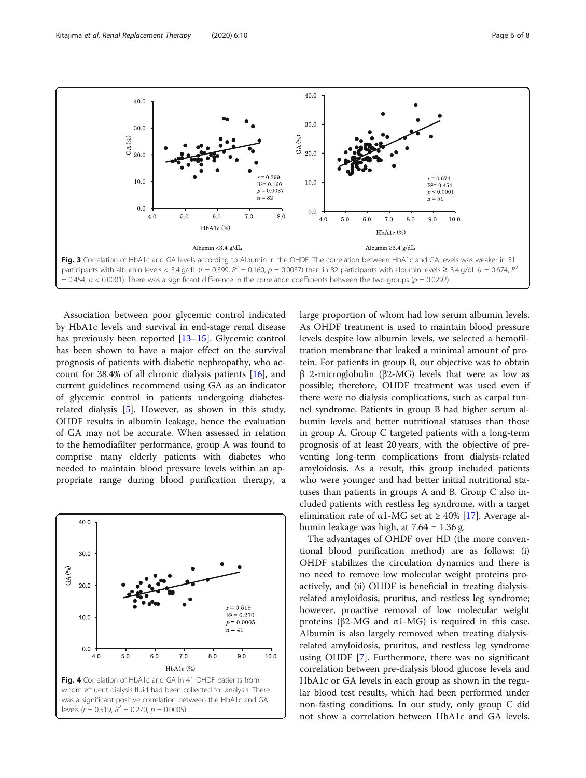<span id="page-5-0"></span>

Association between poor glycemic control indicated by HbA1c levels and survival in end-stage renal disease has previously been reported [\[13](#page-7-0)–[15\]](#page-7-0). Glycemic control has been shown to have a major effect on the survival prognosis of patients with diabetic nephropathy, who account for 38.4% of all chronic dialysis patients [[16\]](#page-7-0), and current guidelines recommend using GA as an indicator of glycemic control in patients undergoing diabetesrelated dialysis [[5\]](#page-7-0). However, as shown in this study, OHDF results in albumin leakage, hence the evaluation of GA may not be accurate. When assessed in relation to the hemodiafilter performance, group A was found to comprise many elderly patients with diabetes who needed to maintain blood pressure levels within an appropriate range during blood purification therapy, a



large proportion of whom had low serum albumin levels. As OHDF treatment is used to maintain blood pressure levels despite low albumin levels, we selected a hemofiltration membrane that leaked a minimal amount of protein. For patients in group B, our objective was to obtain β 2-microglobulin (β2-MG) levels that were as low as possible; therefore, OHDF treatment was used even if there were no dialysis complications, such as carpal tunnel syndrome. Patients in group B had higher serum albumin levels and better nutritional statuses than those in group A. Group C targeted patients with a long-term prognosis of at least 20 years, with the objective of preventing long-term complications from dialysis-related amyloidosis. As a result, this group included patients who were younger and had better initial nutritional statuses than patients in groups A and B. Group C also included patients with restless leg syndrome, with a target elimination rate of α1-MG set at  $\geq$  40% [[17\]](#page-7-0). Average albumin leakage was high, at  $7.64 \pm 1.36$  g.

The advantages of OHDF over HD (the more conventional blood purification method) are as follows: (i) OHDF stabilizes the circulation dynamics and there is no need to remove low molecular weight proteins proactively, and (ii) OHDF is beneficial in treating dialysisrelated amyloidosis, pruritus, and restless leg syndrome; however, proactive removal of low molecular weight proteins ( $β2-MG$  and  $α1-MG$ ) is required in this case. Albumin is also largely removed when treating dialysisrelated amyloidosis, pruritus, and restless leg syndrome using OHDF [\[7](#page-7-0)]. Furthermore, there was no significant correlation between pre-dialysis blood glucose levels and HbA1c or GA levels in each group as shown in the regular blood test results, which had been performed under non-fasting conditions. In our study, only group C did not show a correlation between HbA1c and GA levels.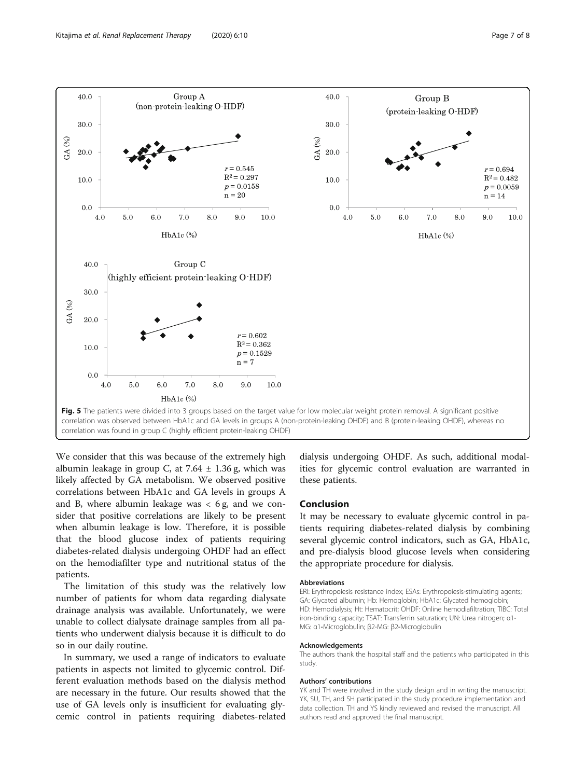<span id="page-6-0"></span>

We consider that this was because of the extremely high albumin leakage in group C, at  $7.64 \pm 1.36$  g, which was likely affected by GA metabolism. We observed positive correlations between HbA1c and GA levels in groups A and B, where albumin leakage was  $<$  6 g, and we consider that positive correlations are likely to be present when albumin leakage is low. Therefore, it is possible that the blood glucose index of patients requiring diabetes-related dialysis undergoing OHDF had an effect on the hemodiafilter type and nutritional status of the patients.

The limitation of this study was the relatively low number of patients for whom data regarding dialysate drainage analysis was available. Unfortunately, we were unable to collect dialysate drainage samples from all patients who underwent dialysis because it is difficult to do so in our daily routine.

In summary, we used a range of indicators to evaluate patients in aspects not limited to glycemic control. Different evaluation methods based on the dialysis method are necessary in the future. Our results showed that the use of GA levels only is insufficient for evaluating glycemic control in patients requiring diabetes-related dialysis undergoing OHDF. As such, additional modalities for glycemic control evaluation are warranted in these patients.

## Conclusion

It may be necessary to evaluate glycemic control in patients requiring diabetes-related dialysis by combining several glycemic control indicators, such as GA, HbA1c, and pre-dialysis blood glucose levels when considering the appropriate procedure for dialysis.

#### Abbreviations

ERI: Erythropoiesis resistance index; ESAs: Erythropoiesis-stimulating agents; GA: Glycated albumin; Hb: Hemoglobin; HbA1c: Glycated hemoglobin; HD: Hemodialysis; Ht: Hematocrit; OHDF: Online hemodiafiltration; TIBC: Total iron-binding capacity; TSAT: Transferrin saturation; UN: Urea nitrogen; α1- MG: α1-Microglobulin; β2-MG: β2-Microglobulin

#### Acknowledgements

The authors thank the hospital staff and the patients who participated in this study.

#### Authors' contributions

YK and TH were involved in the study design and in writing the manuscript. YK, SU, TH, and SH participated in the study procedure implementation and data collection. TH and YS kindly reviewed and revised the manuscript. All authors read and approved the final manuscript.